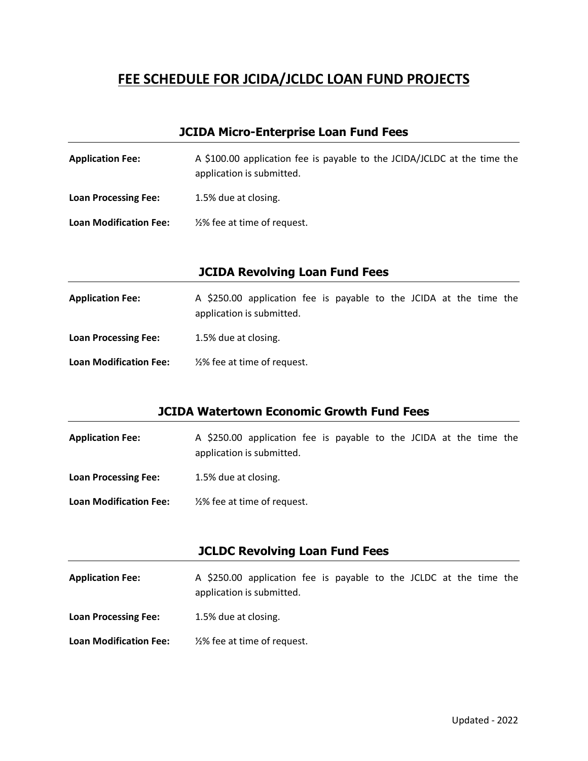## **FEE SCHEDULE FOR JCIDA/JCLDC LOAN FUND PROJECTS**

#### **JCIDA Micro-Enterprise Loan Fund Fees**

| <b>Application Fee:</b>       | A \$100.00 application fee is payable to the JCIDA/JCLDC at the time the<br>application is submitted. |
|-------------------------------|-------------------------------------------------------------------------------------------------------|
| <b>Loan Processing Fee:</b>   | 1.5% due at closing.                                                                                  |
| <b>Loan Modification Fee:</b> | 1/2% fee at time of request.                                                                          |

#### **JCIDA Revolving Loan Fund Fees**

| <b>Application Fee:</b>       | A \$250.00 application fee is payable to the JCIDA at the time the<br>application is submitted. |
|-------------------------------|-------------------------------------------------------------------------------------------------|
| <b>Loan Processing Fee:</b>   | 1.5% due at closing.                                                                            |
| <b>Loan Modification Fee:</b> | 1/2% fee at time of request.                                                                    |

#### **JCIDA Watertown Economic Growth Fund Fees**

| <b>Application Fee:</b>       | A \$250.00 application fee is payable to the JCIDA at the time the<br>application is submitted. |
|-------------------------------|-------------------------------------------------------------------------------------------------|
| <b>Loan Processing Fee:</b>   | 1.5% due at closing.                                                                            |
| <b>Loan Modification Fee:</b> | 1/2% fee at time of request.                                                                    |

#### **JCLDC Revolving Loan Fund Fees**

- **Application Fee:** A \$250.00 application fee is payable to the JCLDC at the time the application is submitted.
- Loan Processing Fee: 1.5% due at closing.
- **Loan Modification Fee:** ½% fee at time of request.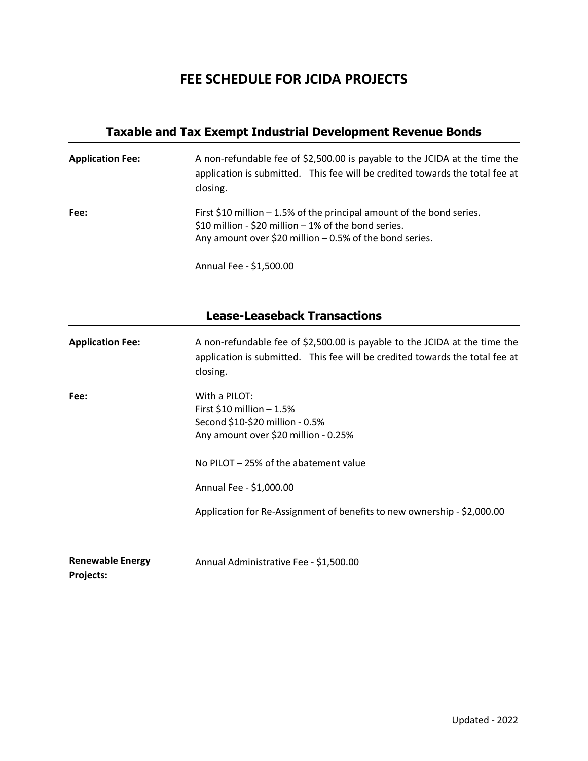## **FEE SCHEDULE FOR JCIDA PROJECTS**

### **Taxable and Tax Exempt Industrial Development Revenue Bonds**

| <b>Application Fee:</b> | A non-refundable fee of \$2,500.00 is payable to the JCIDA at the time the<br>application is submitted. This fee will be credited towards the total fee at<br>closing.                      |
|-------------------------|---------------------------------------------------------------------------------------------------------------------------------------------------------------------------------------------|
| Fee:                    | First \$10 million $-$ 1.5% of the principal amount of the bond series.<br>\$10 million - \$20 million - 1% of the bond series.<br>Any amount over \$20 million $-0.5%$ of the bond series. |

Annual Fee - \$1,500.00

### **Lease-Leaseback Transactions**

| <b>Application Fee:</b>              | A non-refundable fee of \$2,500.00 is payable to the JCIDA at the time the<br>application is submitted. This fee will be credited towards the total fee at<br>closing.                       |
|--------------------------------------|----------------------------------------------------------------------------------------------------------------------------------------------------------------------------------------------|
| Fee:                                 | With a PILOT:<br>First $$10$ million $-1.5\%$<br>Second \$10-\$20 million - 0.5%<br>Any amount over \$20 million - 0.25%<br>No PILOT - 25% of the abatement value<br>Annual Fee - \$1,000.00 |
| <b>Renewable Energy</b><br>Projects: | Application for Re-Assignment of benefits to new ownership - \$2,000.00<br>Annual Administrative Fee - \$1,500.00                                                                            |